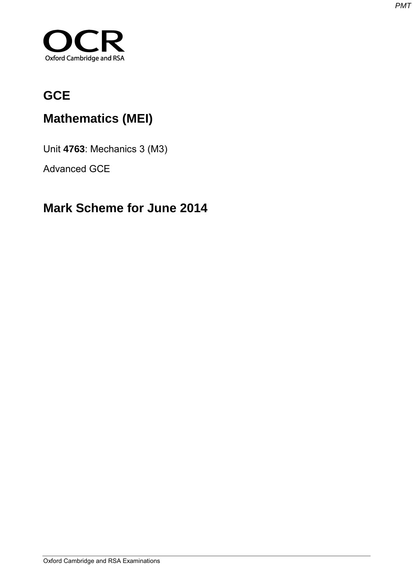

# **GCE**

# **Mathematics (MEI)**

Unit **4763**: Mechanics 3 (M3)

Advanced GCE

# **Mark Scheme for June 2014**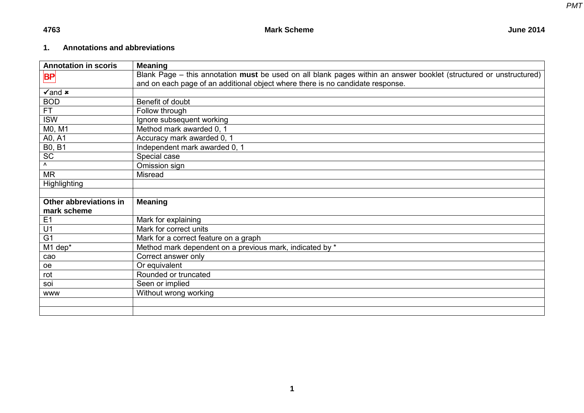## **1. Annotations and abbreviations**

| <b>Annotation in scoris</b> | <b>Meaning</b>                                                                                                     |
|-----------------------------|--------------------------------------------------------------------------------------------------------------------|
| $\mathsf{BP}$               | Blank Page – this annotation must be used on all blank pages within an answer booklet (structured or unstructured) |
|                             | and on each page of an additional object where there is no candidate response.                                     |
| $\sqrt{2}$ and $\bm{x}$     |                                                                                                                    |
| <b>BOD</b>                  | Benefit of doubt                                                                                                   |
| FT.                         | Follow through                                                                                                     |
| <b>ISW</b>                  | Ignore subsequent working                                                                                          |
| M0, M1                      | Method mark awarded 0, 1                                                                                           |
| A0, A1                      | Accuracy mark awarded 0, 1                                                                                         |
| <b>B0, B1</b>               | Independent mark awarded 0, 1                                                                                      |
| SC                          | Special case                                                                                                       |
| $\Lambda$                   | Omission sign                                                                                                      |
| <b>MR</b>                   | <b>Misread</b>                                                                                                     |
| <b>Highlighting</b>         |                                                                                                                    |
|                             |                                                                                                                    |
| Other abbreviations in      | <b>Meaning</b>                                                                                                     |
| mark scheme                 |                                                                                                                    |
| E1                          | Mark for explaining                                                                                                |
| U <sub>1</sub>              | Mark for correct units                                                                                             |
| G <sub>1</sub>              | Mark for a correct feature on a graph                                                                              |
| M1 dep*                     | Method mark dependent on a previous mark, indicated by *                                                           |
| cao                         | Correct answer only                                                                                                |
| oe                          | Or equivalent                                                                                                      |
| rot                         | Rounded or truncated                                                                                               |
| soi                         | Seen or implied                                                                                                    |
| <b>WWW</b>                  | Without wrong working                                                                                              |
|                             |                                                                                                                    |
|                             |                                                                                                                    |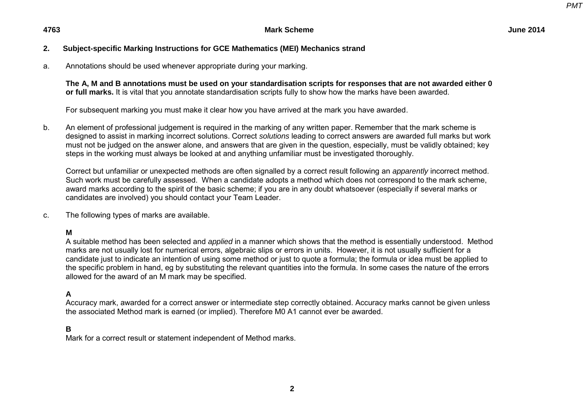### **2. Subject-specific Marking Instructions for GCE Mathematics (MEI) Mechanics strand**

a. Annotations should be used whenever appropriate during your marking.

**The A, M and B annotations must be used on your standardisation scripts for responses that are not awarded either 0 or full marks.** It is vital that you annotate standardisation scripts fully to show how the marks have been awarded.

For subsequent marking you must make it clear how you have arrived at the mark you have awarded.

b. An element of professional judgement is required in the marking of any written paper. Remember that the mark scheme is designed to assist in marking incorrect solutions. Correct *solutions* leading to correct answers are awarded full marks but work must not be judged on the answer alone, and answers that are given in the question, especially, must be validly obtained; key steps in the working must always be looked at and anything unfamiliar must be investigated thoroughly.

Correct but unfamiliar or unexpected methods are often signalled by a correct result following an *apparently* incorrect method. Such work must be carefully assessed. When a candidate adopts a method which does not correspond to the mark scheme, award marks according to the spirit of the basic scheme; if you are in any doubt whatsoever (especially if several marks or candidates are involved) you should contact your Team Leader.

c. The following types of marks are available.

**M** 

A suitable method has been selected and *applied* in a manner which shows that the method is essentially understood. Method marks are not usually lost for numerical errors, algebraic slips or errors in units. However, it is not usually sufficient for a candidate just to indicate an intention of using some method or just to quote a formula; the formula or idea must be applied to the specific problem in hand, eg by substituting the relevant quantities into the formula. In some cases the nature of the errors allowed for the award of an M mark may be specified.

### **A**

Accuracy mark, awarded for a correct answer or intermediate step correctly obtained. Accuracy marks cannot be given unless the associated Method mark is earned (or implied). Therefore M0 A1 cannot ever be awarded.

#### **B**

Mark for a correct result or statement independent of Method marks.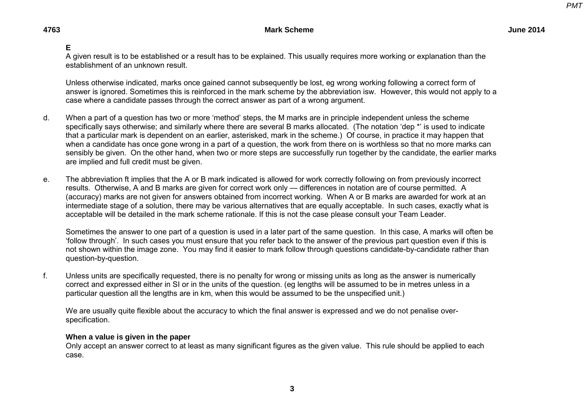### **E**

A given result is to be established or a result has to be explained. This usually requires more working or explanation than the establishment of an unknown result.

Unless otherwise indicated, marks once gained cannot subsequently be lost, eg wrong working following a correct form of answer is ignored. Sometimes this is reinforced in the mark scheme by the abbreviation isw. However, this would not apply to a case where a candidate passes through the correct answer as part of a wrong argument.

- d. When a part of a question has two or more 'method' steps, the M marks are in principle independent unless the scheme specifically says otherwise; and similarly where there are several B marks allocated. (The notation 'dep \*' is used to indicate that a particular mark is dependent on an earlier, asterisked, mark in the scheme.) Of course, in practice it may happen that when a candidate has once gone wrong in a part of a question, the work from there on is worthless so that no more marks can sensibly be given. On the other hand, when two or more steps are successfully run together by the candidate, the earlier marks are implied and full credit must be given.
- e. The abbreviation ft implies that the A or B mark indicated is allowed for work correctly following on from previously incorrect results. Otherwise, A and B marks are given for correct work only — differences in notation are of course permitted. A (accuracy) marks are not given for answers obtained from incorrect working. When A or B marks are awarded for work at an intermediate stage of a solution, there may be various alternatives that are equally acceptable. In such cases, exactly what is acceptable will be detailed in the mark scheme rationale. If this is not the case please consult your Team Leader.

Sometimes the answer to one part of a question is used in a later part of the same question. In this case, A marks will often be 'follow through'. In such cases you must ensure that you refer back to the answer of the previous part question even if this is not shown within the image zone. You may find it easier to mark follow through questions candidate-by-candidate rather than question-by-question.

f. Unless units are specifically requested, there is no penalty for wrong or missing units as long as the answer is numerically correct and expressed either in SI or in the units of the question. (eg lengths will be assumed to be in metres unless in a particular question all the lengths are in km, when this would be assumed to be the unspecified unit.)

We are usually quite flexible about the accuracy to which the final answer is expressed and we do not penalise overspecification.

#### **When a value is given in the paper**

Only accept an answer correct to at least as many significant figures as the given value. This rule should be applied to each case.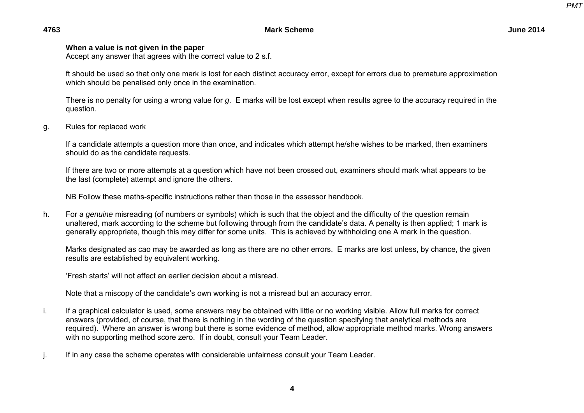**4763 Mark Scheme June 2014** 

#### **When a value is not given in the paper**

Accept any answer that agrees with the correct value to 2 s.f.

ft should be used so that only one mark is lost for each distinct accuracy error, except for errors due to premature approximation which should be penalised only once in the examination.

There is no penalty for using a wrong value for *g*. E marks will be lost except when results agree to the accuracy required in the question.

g. Rules for replaced work

If a candidate attempts a question more than once, and indicates which attempt he/she wishes to be marked, then examiners should do as the candidate requests.

If there are two or more attempts at a question which have not been crossed out, examiners should mark what appears to be the last (complete) attempt and ignore the others.

NB Follow these maths-specific instructions rather than those in the assessor handbook.

h. For a *genuine* misreading (of numbers or symbols) which is such that the object and the difficulty of the question remain unaltered, mark according to the scheme but following through from the candidate's data. A penalty is then applied; 1 mark is generally appropriate, though this may differ for some units. This is achieved by withholding one A mark in the question.

Marks designated as cao may be awarded as long as there are no other errors. E marks are lost unless, by chance, the given results are established by equivalent working.

'Fresh starts' will not affect an earlier decision about a misread.

Note that a miscopy of the candidate's own working is not a misread but an accuracy error.

- i. If a graphical calculator is used, some answers may be obtained with little or no working visible. Allow full marks for correct answers (provided, of course, that there is nothing in the wording of the question specifying that analytical methods are required). Where an answer is wrong but there is some evidence of method, allow appropriate method marks. Wrong answers with no supporting method score zero. If in doubt, consult your Team Leader.
- j. If in any case the scheme operates with considerable unfairness consult your Team Leader.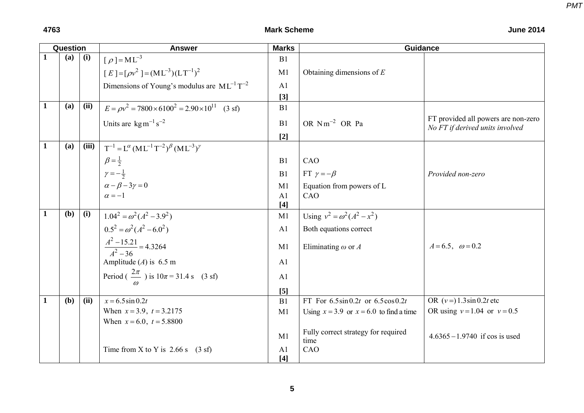|              | Question     |       | <b>Answer</b>                                                    | <b>Marks</b>            | <b>Guidance</b>                             |                                                                        |
|--------------|--------------|-------|------------------------------------------------------------------|-------------------------|---------------------------------------------|------------------------------------------------------------------------|
| $\mathbf{1}$ | (a)          | (i)   | $[\rho] = ML^{-3}$                                               | B1                      |                                             |                                                                        |
|              |              |       | $[E] = [\rho v^2] = (ML^{-3})(LT^{-1})^2$                        | M1                      | Obtaining dimensions of $E$                 |                                                                        |
|              |              |       | Dimensions of Young's modulus are $ML^{-1}T^{-2}$                | A <sub>1</sub>          |                                             |                                                                        |
|              |              |       |                                                                  | $[3]$                   |                                             |                                                                        |
| $\mathbf{1}$ | (a)          | (ii)  | $E = \rho v^2 = 7800 \times 6100^2 = 2.90 \times 10^{11}$ (3 sf) | B1                      |                                             |                                                                        |
|              |              |       | Units are $\text{kg m}^{-1} \text{s}^{-2}$                       | B1                      | OR $Nm^{-2}$ OR Pa                          | FT provided all powers are non-zero<br>No FT if derived units involved |
| $\mathbf{1}$ | (a)          | (iii) |                                                                  | $[2]$                   |                                             |                                                                        |
|              |              |       | $T^{-1} = L^{\alpha} (ML^{-1}T^{-2})^{\beta} (ML^{-3})^{\gamma}$ |                         |                                             |                                                                        |
|              |              |       | $\beta = \frac{1}{2}$                                            | B <sub>1</sub>          | CAO                                         |                                                                        |
|              |              |       | $\gamma=-\frac{1}{2}$                                            | B1                      | FT $\gamma = -\beta$                        | Provided non-zero                                                      |
|              |              |       | $\alpha - \beta - 3\gamma = 0$                                   | M1                      | Equation from powers of L                   |                                                                        |
|              |              |       | $\alpha = -1$                                                    | A <sub>1</sub>          | CAO                                         |                                                                        |
|              |              |       |                                                                  | $[4]$                   |                                             |                                                                        |
| $\mathbf{1}$ | (b)          | (i)   | $1.04^{2} = \omega^{2} (A^{2} - 3.9^{2})$                        | M1                      | Using $v^2 = \omega^2 (A^2 - x^2)$          |                                                                        |
|              |              |       | $0.5^2 = \omega^2 (A^2 - 6.0^2)$                                 | A1                      | Both equations correct                      |                                                                        |
|              |              |       | $\frac{A^2 - 15.21}{A^2 - 36} = 4.3264$                          | M1                      | Eliminating $\omega$ or A                   | $A = 6.5$ , $\omega = 0.2$                                             |
|              |              |       | Amplitude (A) is $6.5$ m                                         | A1                      |                                             |                                                                        |
|              |              |       | Period $\left(\frac{2\pi}{n}\right)$ is $10\pi = 31.4$ s (3 sf)  | A1                      |                                             |                                                                        |
|              |              |       |                                                                  | $[5]$                   |                                             |                                                                        |
| $\mathbf{1}$ | ( <b>b</b> ) | (ii)  | $x = 6.5 \sin 0.2t$                                              | B1                      | FT For $6.5\sin 0.2t$ or $6.5\cos 0.2t$     | OR $(v=) 1.3 \sin 0.2t$ etc                                            |
|              |              |       | When $x = 3.9$ , $t = 3.2175$                                    | M1                      | Using $x = 3.9$ or $x = 6.0$ to find a time | OR using $v = 1.04$ or $v = 0.5$                                       |
|              |              |       | When $x = 6.0$ , $t = 5.8800$                                    |                         |                                             |                                                                        |
|              |              |       |                                                                  | M1                      | Fully correct strategy for required<br>time | $4.6365 - 1.9740$ if cos is used                                       |
|              |              |       | Time from X to Y is $2.66$ s $(3 \text{ sf})$                    | A <sub>1</sub><br>$[4]$ | CAO                                         |                                                                        |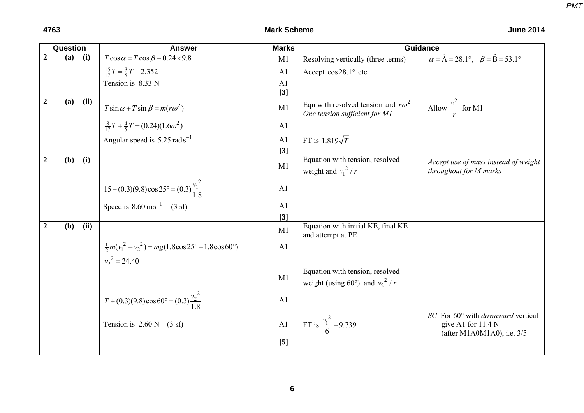|                  | Question     |      | <b>Answer</b>                                                           | <b>Marks</b>   | <b>Guidance</b>                                                            |                                                                                                |
|------------------|--------------|------|-------------------------------------------------------------------------|----------------|----------------------------------------------------------------------------|------------------------------------------------------------------------------------------------|
| $\overline{2}$   | (a)          | (i)  | $T\cos\alpha = T\cos\beta + 0.24 \times 9.8$                            | M1             | Resolving vertically (three terms)                                         | $\alpha = \hat{A} = 28.1^{\circ}, \ \ \beta = \hat{B} = 53.1^{\circ}$                          |
|                  |              |      | $\frac{15}{17}T = \frac{3}{5}T + 2.352$                                 | A <sub>1</sub> | Accept cos 28.1° etc                                                       |                                                                                                |
|                  |              |      | Tension is 8.33 N                                                       | A <sub>1</sub> |                                                                            |                                                                                                |
|                  |              |      |                                                                         | $[3]$          |                                                                            |                                                                                                |
| $\boldsymbol{2}$ | (a)          | (ii) | $T\sin\alpha + T\sin\beta = m(r\omega^2)$                               | M1             | Eqn with resolved tension and $r\omega^2$<br>One tension sufficient for M1 | Allow $\frac{v^2}{2}$ for M1                                                                   |
|                  |              |      | $\frac{8}{17}T + \frac{4}{5}T = (0.24)(1.6\omega^2)$                    | A <sub>1</sub> |                                                                            |                                                                                                |
|                  |              |      | Angular speed is $5.25 \text{ rad s}^{-1}$                              | A <sub>1</sub> | FT is $1.819\sqrt{T}$                                                      |                                                                                                |
|                  |              |      |                                                                         | $[3]$          |                                                                            |                                                                                                |
| $\boldsymbol{2}$ | (b)          | (i)  |                                                                         | M1             | Equation with tension, resolved<br>weight and $v_1^2/r$                    | Accept use of mass instead of weight<br>throughout for M marks                                 |
|                  |              |      | 15 – (0.3)(9.8) cos 25° = (0.3) $\frac{v_1^2}{1.8}$                     | A <sub>1</sub> |                                                                            |                                                                                                |
|                  |              |      | Speed is $8.60 \text{ ms}^{-1}$ (3 sf)                                  | A <sub>1</sub> |                                                                            |                                                                                                |
|                  |              |      |                                                                         | $[3]$          |                                                                            |                                                                                                |
| $\boldsymbol{2}$ | ( <b>b</b> ) | (ii) |                                                                         | M1             | Equation with initial KE, final KE<br>and attempt at PE                    |                                                                                                |
|                  |              |      | $\frac{1}{2}m(v_1^2 - v_2^2) = mg(1.8\cos 25^\circ + 1.8\cos 60^\circ)$ | A1             |                                                                            |                                                                                                |
|                  |              |      | $v_2^2 = 24.40$                                                         |                |                                                                            |                                                                                                |
|                  |              |      |                                                                         | M1             | Equation with tension, resolved<br>weight (using 60°) and $v_2^2/r$        |                                                                                                |
|                  |              |      | $T + (0.3)(9.8)\cos 60^\circ = (0.3)\frac{v_2^2}{1.8}$                  | A1             |                                                                            |                                                                                                |
|                  |              |      | Tension is $2.60 \text{ N}$ (3 sf)                                      | A1             | FT is $\frac{v_1^2}{6}$ – 9.739                                            | SC For 60° with <i>downward</i> vertical<br>give A1 for 11.4 N<br>(after M1A0M1A0), i.e. $3/5$ |
|                  |              |      |                                                                         | $[5]$          |                                                                            |                                                                                                |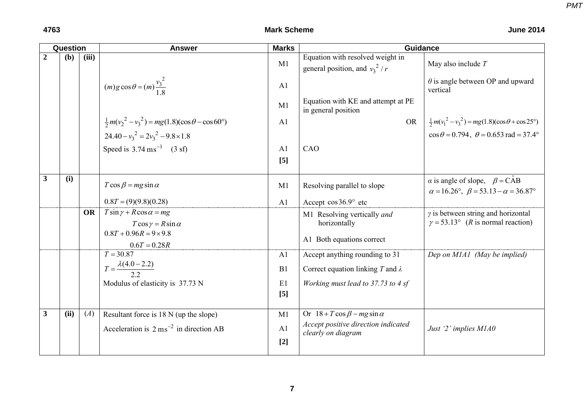| Question       |      |           | <b>Answer</b>                                                                                                              | <b>Marks</b>            | <b>Guidance</b>                                                                                      |                                                                                                                 |  |
|----------------|------|-----------|----------------------------------------------------------------------------------------------------------------------------|-------------------------|------------------------------------------------------------------------------------------------------|-----------------------------------------------------------------------------------------------------------------|--|
| $\overline{2}$ | (b)  | (iii)     |                                                                                                                            | M1                      | Equation with resolved weight in<br>general position, and $v_3^2/r$                                  | May also include $T$                                                                                            |  |
|                |      |           | $(m) g \cos \theta = (m) \frac{v_3^2}{1 \text{ g}}$                                                                        | A1                      |                                                                                                      | $\theta$ is angle between OP and upward<br>vertical                                                             |  |
|                |      |           |                                                                                                                            | M1                      | Equation with KE and attempt at PE<br>in general position                                            |                                                                                                                 |  |
|                |      |           | $\frac{1}{2}m(v_2^2 - v_3^2) = mg(1.8)(\cos\theta - \cos 60^\circ)$                                                        | A <sub>1</sub>          | <b>OR</b>                                                                                            | $\frac{1}{2}m(v_1^2 - v_3^2) = mg(1.8)(\cos\theta + \cos 25^\circ)$                                             |  |
|                |      |           | $24.40 - v_3^2 = 2v_3^2 - 9.8 \times 1.8$                                                                                  |                         |                                                                                                      | $\cos \theta = 0.794$ , $\theta = 0.653$ rad = 37.4°                                                            |  |
|                |      |           | Speed is $3.74 \text{ ms}^{-1}$ (3 sf)                                                                                     | A <sub>1</sub>          | CAO                                                                                                  |                                                                                                                 |  |
|                |      |           |                                                                                                                            | [5]                     |                                                                                                      |                                                                                                                 |  |
| $\overline{3}$ | (i)  |           | $T \cos \beta = mg \sin \alpha$                                                                                            | M1                      | Resolving parallel to slope                                                                          | $\alpha$ is angle of slope, $\beta = CAB$<br>$\alpha = 16.26^{\circ}, \ \beta = 53.13 - \alpha = 36.87^{\circ}$ |  |
|                |      |           | $0.8T = (9)(9.8)(0.28)$                                                                                                    | A1                      | Accept $\cos 36.9^\circ$ etc                                                                         |                                                                                                                 |  |
|                |      | <b>OR</b> | $T \sin \gamma + R \cos \alpha = mg$<br>$T \cos \gamma = R \sin \alpha$<br>$0.8T + 0.96R = 9 \times 9.8$<br>$0.6T = 0.28R$ |                         | M1 Resolving vertically and<br>horizontally<br>A1 Both equations correct                             | $\gamma$ is between string and horizontal<br>$\gamma = 53.13^{\circ}$ ( <i>R</i> is normal reaction)            |  |
|                |      |           | $T = 30.87$                                                                                                                | A <sub>1</sub>          | Accept anything rounding to 31                                                                       | Dep on M1A1 (May be implied)                                                                                    |  |
|                |      |           | $T = \frac{\lambda(4.0 - 2.2)}{2.2}$                                                                                       | B1                      | Correct equation linking T and $\lambda$                                                             |                                                                                                                 |  |
|                |      |           | Modulus of elasticity is 37.73 N                                                                                           | E1<br>$\lceil 5 \rceil$ | Working must lead to 37.73 to 4 sf                                                                   |                                                                                                                 |  |
| $\mathbf{3}$   | (ii) | (A)       | Resultant force is 18 N (up the slope)<br>Acceleration is $2 \text{ ms}^{-2}$ in direction AB                              | M1<br>A1<br>$[2]$       | Or $18 + T \cos \beta - mg \sin \alpha$<br>Accept positive direction indicated<br>clearly on diagram | Just '2' implies M1A0                                                                                           |  |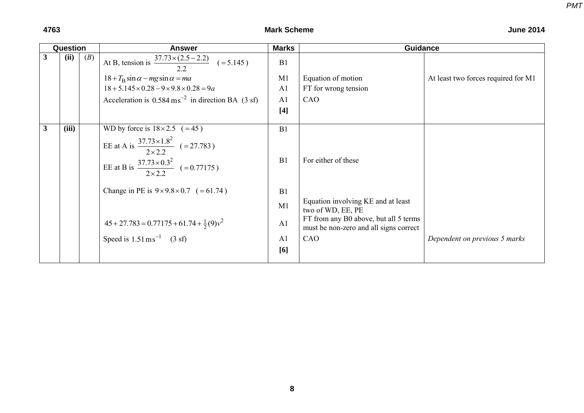|              | Question |     | <b>Answer</b>                                                     | <b>Marks</b>   | <b>Guidance</b>                                                                 |                                     |  |
|--------------|----------|-----|-------------------------------------------------------------------|----------------|---------------------------------------------------------------------------------|-------------------------------------|--|
| $\mathbf{3}$ | (ii)     | (B) | At B, tension is $\frac{37.73 \times (2.5 - 2.2)}{2.2}$ (= 5.145) | B1             |                                                                                 |                                     |  |
|              |          |     | $18 + T_B \sin \alpha - mg \sin \alpha = ma$                      | M1             | Equation of motion                                                              | At least two forces required for M1 |  |
|              |          |     | $18 + 5.145 \times 0.28 - 9 \times 9.8 \times 0.28 = 9a$          | A <sub>1</sub> | FT for wrong tension                                                            |                                     |  |
|              |          |     | Acceleration is $0.584 \text{ ms}^{-2}$ in direction BA (3 sf)    | A <sub>1</sub> | CAO                                                                             |                                     |  |
|              |          |     |                                                                   | $[4]$          |                                                                                 |                                     |  |
| $\mathbf{3}$ | (iii)    |     | WD by force is $18 \times 2.5$ (=45)                              | B1             |                                                                                 |                                     |  |
|              |          |     | EE at A is $\frac{37.73 \times 1.8^2}{2 \times 2.2}$ (= 27.783)   |                |                                                                                 |                                     |  |
|              |          |     | EE at B is $\frac{37.73 \times 0.3^2}{2 \times 2.2}$ (=0.77175)   | B1             | For either of these                                                             |                                     |  |
|              |          |     | Change in PE is $9 \times 9.8 \times 0.7$ (= 61.74)               | B1             |                                                                                 |                                     |  |
|              |          |     |                                                                   | M1             | Equation involving KE and at least<br>two of WD, EE, PE                         |                                     |  |
|              |          |     | $45 + 27.783 = 0.77175 + 61.74 + \frac{1}{2}(9)v^2$               | A <sub>1</sub> | FT from any B0 above, but all 5 terms<br>must be non-zero and all signs correct |                                     |  |
|              |          |     | Speed is $1.51 \text{ ms}^{-1}$ (3 sf)                            | A <sub>1</sub> | CAO                                                                             | Dependent on previous 5 marks       |  |
|              |          |     |                                                                   | [6]            |                                                                                 |                                     |  |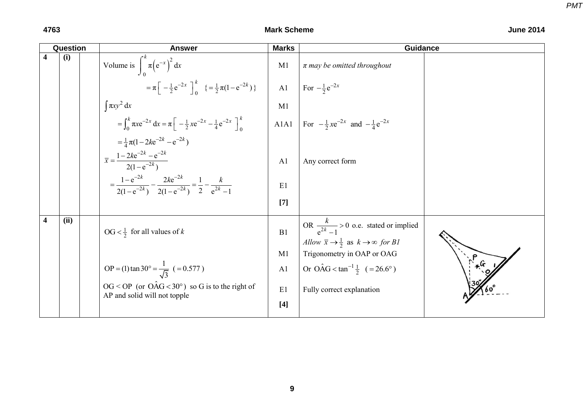|                         | Question | <b>Answer</b>                                                                                      | <b>Marks</b>   | <b>Guidance</b>                                                                                                                |  |
|-------------------------|----------|----------------------------------------------------------------------------------------------------|----------------|--------------------------------------------------------------------------------------------------------------------------------|--|
| $\overline{\mathbf{4}}$ | (i)      | Volume is $\int_{0}^{k} \pi (e^{-x})^2 dx$                                                         | M1             | $\pi$ may be omitted throughout                                                                                                |  |
|                         |          | $=\pi \left[ -\frac{1}{2} e^{-2x} \right]_0^k \left\{ = \frac{1}{2} \pi (1 - e^{-2k}) \right\}$    | A1             | For $-\frac{1}{2}e^{-2x}$                                                                                                      |  |
|                         |          | $\int \pi xy^2 dx$                                                                                 | M1             |                                                                                                                                |  |
|                         |          | $=\int_0^k \pi x e^{-2x} dx = \pi \left[ -\frac{1}{2} x e^{-2x} - \frac{1}{4} e^{-2x} \right]_0^k$ | A1A1           | For $-\frac{1}{2}xe^{-2x}$ and $-\frac{1}{4}e^{-2x}$                                                                           |  |
|                         |          | $=\frac{1}{4}\pi(1-2ke^{-2k}-e^{-2k})$                                                             |                |                                                                                                                                |  |
|                         |          | $\overline{x} = \frac{1 - 2ke^{-2k} - e^{-2k}}{2(1 - e^{-2k})}$                                    | A <sub>1</sub> | Any correct form                                                                                                               |  |
|                         |          | $=\frac{1-e^{-2k}}{2(1-e^{-2k})}-\frac{2ke^{-2k}}{2(1-e^{-2k})}=\frac{1}{2}-\frac{k}{e^{2k}-1}$    | E1             |                                                                                                                                |  |
|                         |          |                                                                                                    | $[7]$          |                                                                                                                                |  |
| $\overline{\mathbf{4}}$ | (ii)     | $OG < \frac{1}{2}$ for all values of k                                                             | B1             | OR $\frac{k}{e^{2k}-1} > 0$ o.e. stated or implied<br>Allow $\bar{x} \rightarrow \frac{1}{2}$ as $k \rightarrow \infty$ for B1 |  |
|                         |          |                                                                                                    | M1             | Trigonometry in OAP or OAG                                                                                                     |  |
|                         |          | OP = (1) tan 30° = $\frac{1}{\sqrt{3}}$ ( = 0.577)                                                 | A1             | Or OAG < $\tan^{-1}\frac{1}{2}$ (= 26.6°)                                                                                      |  |
|                         |          | $OG < OP$ (or $OAG < 30^\circ$ ) so G is to the right of<br>AP and solid will not topple           | E1             | Fully correct explanation                                                                                                      |  |
|                         |          |                                                                                                    | $[4]$          |                                                                                                                                |  |